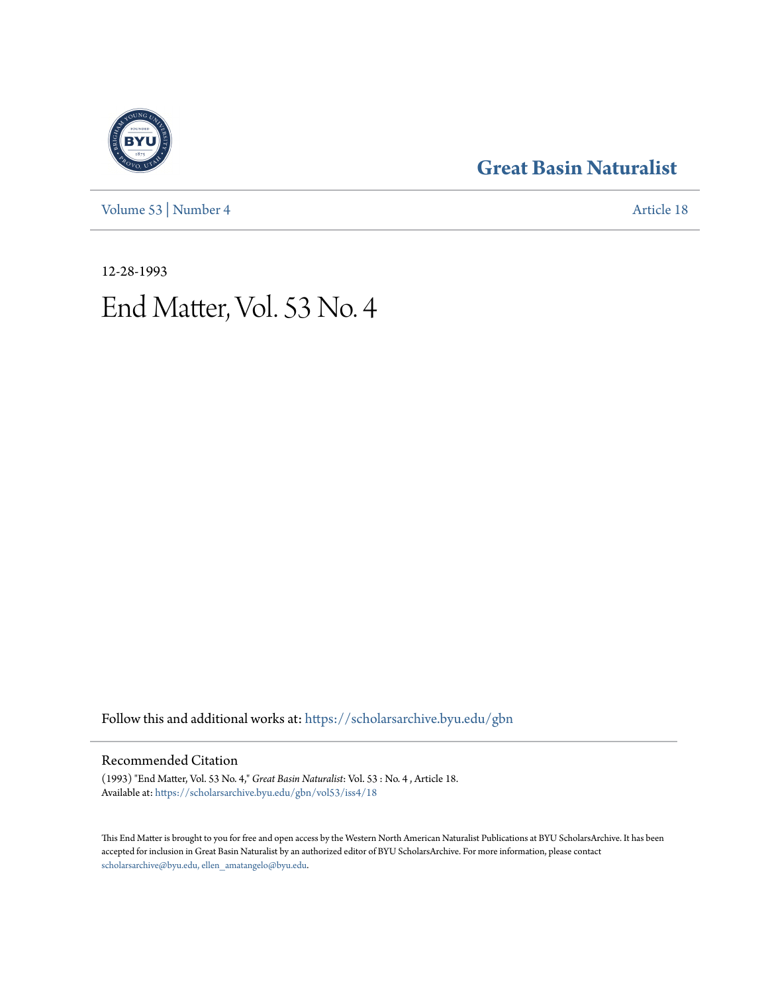[Volume 53](https://scholarsarchive.byu.edu/gbn/vol53?utm_source=scholarsarchive.byu.edu%2Fgbn%2Fvol53%2Fiss4%2F18&utm_medium=PDF&utm_campaign=PDFCoverPages) | [Number 4](https://scholarsarchive.byu.edu/gbn/vol53/iss4?utm_source=scholarsarchive.byu.edu%2Fgbn%2Fvol53%2Fiss4%2F18&utm_medium=PDF&utm_campaign=PDFCoverPages) [Article 18](https://scholarsarchive.byu.edu/gbn/vol53/iss4/18?utm_source=scholarsarchive.byu.edu%2Fgbn%2Fvol53%2Fiss4%2F18&utm_medium=PDF&utm_campaign=PDFCoverPages)

### **[Great Basin Naturalist](https://scholarsarchive.byu.edu/gbn?utm_source=scholarsarchive.byu.edu%2Fgbn%2Fvol53%2Fiss4%2F18&utm_medium=PDF&utm_campaign=PDFCoverPages)**

12-28-1993

# End Matter, Vol. 53 No. 4

Follow this and additional works at: [https://scholarsarchive.byu.edu/gbn](https://scholarsarchive.byu.edu/gbn?utm_source=scholarsarchive.byu.edu%2Fgbn%2Fvol53%2Fiss4%2F18&utm_medium=PDF&utm_campaign=PDFCoverPages)

#### Recommended Citation

(1993) "End Matter, Vol. 53 No. 4," *Great Basin Naturalist*: Vol. 53 : No. 4 , Article 18. Available at: [https://scholarsarchive.byu.edu/gbn/vol53/iss4/18](https://scholarsarchive.byu.edu/gbn/vol53/iss4/18?utm_source=scholarsarchive.byu.edu%2Fgbn%2Fvol53%2Fiss4%2F18&utm_medium=PDF&utm_campaign=PDFCoverPages)

This End Matter is brought to you for free and open access by the Western North American Naturalist Publications at BYU ScholarsArchive. It has been accepted for inclusion in Great Basin Naturalist by an authorized editor of BYU ScholarsArchive. For more information, please contact [scholarsarchive@byu.edu, ellen\\_amatangelo@byu.edu.](mailto:scholarsarchive@byu.edu,%20ellen_amatangelo@byu.edu)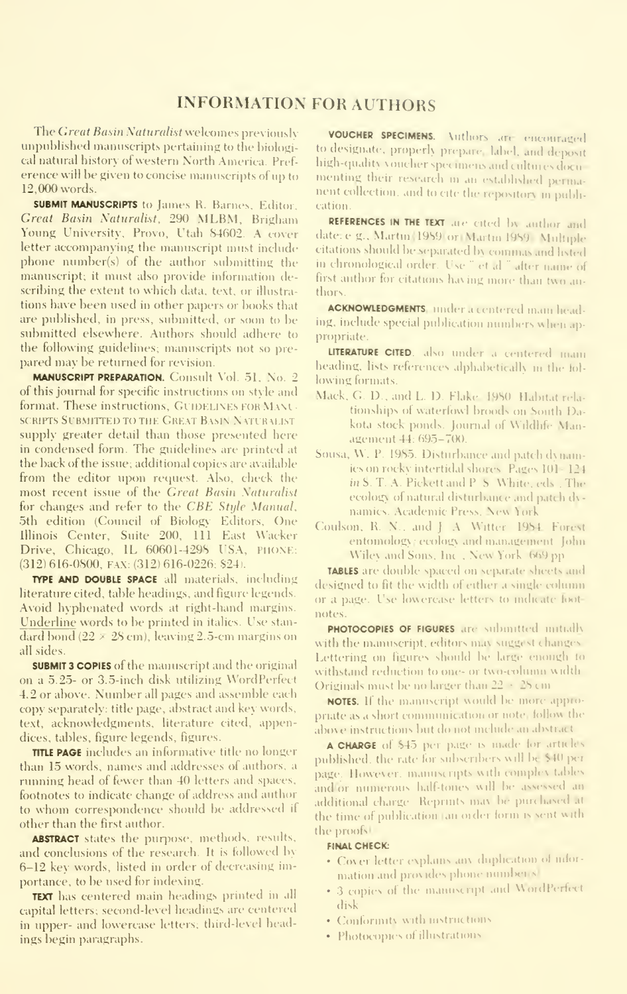#### INFORMATION FOR AUTHORS

The Great Basin Naturalist welcomes previously unpuhlished mamiscripts pertaining to the biological natural history of western North America. Pref erence will he given to concise manuscripts of up to 12.000 words.

**SUBMIT MANUSCRIPTS** to James R. Barnes, Editor, Great Basin Saturalist, 290 MLBM, Brigham Young University, Provo, Utah 84602. A cover letter accompanying the manuscript must include phone number(s) of the author submitting the manuscript; it must also provide information describing the extent to which data, text, or illustra tions have been used in other papers or books that are published, in press, submitted, or soon to be submitted elsewhere. Authors should adhere to the following guidelines; manuscripts not so pre pared may be returned for revision.

MANUSCRIPT PREPARATION. Consult \'ol. 51, No. 2 of this journal for specific instructions on style and format. These instructions, GUIDELINES FOR MANU-SCRIPTS SUBMITTED TO THE GREAT BASIN NATURALIST supply greater detail than those presented here in condensed form. The guidelines are printed at the back of the issue; additional copies are available from the editor upon request. Also, check the most recent issue of the Great Basin Naturalist for changes and refer to the CBE Style Manual. 5th edition (Council of Biology Editors, One Illinois Center, Suite 200, 111 East Wacker Drive, Chicago, IL 60601-4298 USA, PHONE: (312) 616-0800, FAX: (312) 616-0226; \$24).

TYPE AND DOUBLE SPACE all materials, including literature cited, table headings, and figure legends. Avoid hyphenated words at right-hand margins. Underline words to be printed in italics. Use stan dard bond ( $22 \times 28$  cm), leaving 2.5-cm margins on all sides.

SUBMIT 3 COPIES of the manuscript and the original on a 5.25- or 3.5-inch disk utilizing WordPerfect 4.2 or above. Number all pages and assemble each copy separately: title page, abstract and key words, text, acknowledgments, literature cited, appendices, tables, figure legends, figures.

TITLE PAGE includes an informative title no longer than 15 words, names and addresses of authors, a running head of fewer than 40 letters and spaces, footnotes to indicate change of address and author to whom correspondence should be addressed if other than the first author.

**ABSTRACT** states the purpose, methods, results, and conclusions of the research. It is followed by 6-12 key words, listed in order of decreasing importance, to be used for indexing.

TEXT has centered main headings printed in all capital letters; second-level headings are centered in upper- and lowercase letters; third-level headings begin paragraphs.

VOUCHER SPECIMENS. Authors are encouraged to designate, properly prepare, label, and deposit high-quality youcher specimens and cultures documenting their research in an established permanent collection, and to cite the repository in publication.

REFERENCES IN THE TEXT are cited by author and date. e.g., Martin 1989 or Martin 1989 Multiple citations should be separated by commas and listed. in chronological order. Use " et al." after name of first author for citations having more than two authors

ACKNOWLEDGMENTS, under <sup>a</sup> centered main heading, include special publication numbers when appropriate.

LITERATURE CITED, also under a centered main heading, lists references alphabetically in the following formats:

- Mack. G. D., and L. D. Flake. 1980 Habitat rela tionships of waterfowl broods on South Dakota stock ponds. Journal of Wildlife Management 44: 695-700.
- Sousa, W. P. 1985. Disturbance and patch d\namics on rocky intertidal shores. Pages 101-124 in S. T. A. Pickett and P. S. White, eds., The ecologx of natural disturbance and patch dy namics. Academic Press, New York.
- Coulson, R. N., and J. A. Witter. 1984. Forest entomologx ; ecologx and management. John Wiley and Sons. Inc., New York. 669 pp.

TABLES are double spaced on separate sheets and designed to fit the width of either a single column or a page. Use lowercase letters to indicate footnotes.

PHOTOCOPIES OF FIGURES are submitted initially with the manuscript, editors may suggest changes. Lettering on figures should be large enough to withstand reduction to one- or two-cohmm width Originals must be no larger than 22 • 28 cm

NOTES. If the manuscript would be more appropriate as a short conununication or note, follow the abo\e instructions but do not include an abstract

A CHARGE of S45 per page is made for articles published, the rate for subscribers will be \$40 perpage. However, manuscripts with complex tables and or numerous half-tones will be assessed an additional charge. Reprints may be purchased at the time of publication (an order form is sent with the proofs'

#### FINAL CHECK:

- Cover letter explains any duplication of information and provides phone number s'
- 3 copies of the manuscript and WordPerfect disk
- Conformitx with instructions
- Photocopies of illustrations